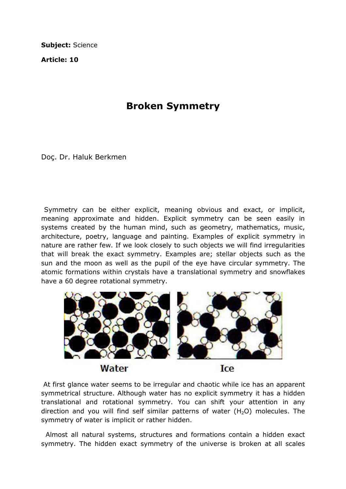Subject: Science

Article: 10

## Broken Symmetry

Doç. Dr. Haluk Berkmen

 Symmetry can be either explicit, meaning obvious and exact, or implicit, meaning approximate and hidden. Explicit symmetry can be seen easily in systems created by the human mind, such as geometry, mathematics, music, architecture, poetry, language and painting. Examples of explicit symmetry in nature are rather few. If we look closely to such objects we will find irregularities that will break the exact symmetry. Examples are; stellar objects such as the sun and the moon as well as the pupil of the eye have circular symmetry. The atomic formations within crystals have a translational symmetry and snowflakes have a 60 degree rotational symmetry.



 At first glance water seems to be irregular and chaotic while ice has an apparent symmetrical structure. Although water has no explicit symmetry it has a hidden translational and rotational symmetry. You can shift your attention in any direction and you will find self similar patterns of water  $(H<sub>2</sub>O)$  molecules. The symmetry of water is implicit or rather hidden.

 Almost all natural systems, structures and formations contain a hidden exact symmetry. The hidden exact symmetry of the universe is broken at all scales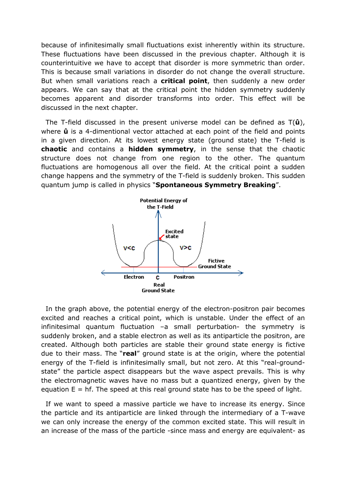because of infinitesimally small fluctuations exist inherently within its structure. These fluctuations have been discussed in the previous chapter. Although it is counterintuitive we have to accept that disorder is more symmetric than order. This is because small variations in disorder do not change the overall structure. But when small variations reach a critical point, then suddenly a new order appears. We can say that at the critical point the hidden symmetry suddenly becomes apparent and disorder transforms into order. This effect will be discussed in the next chapter.

The T-field discussed in the present universe model can be defined as  $T(\hat{u})$ , where  $\hat{u}$  is a 4-dimentional vector attached at each point of the field and points in a given direction. At its lowest energy state (ground state) the T-field is chaotic and contains a hidden symmetry, in the sense that the chaotic structure does not change from one region to the other. The quantum fluctuations are homogenous all over the field. At the critical point a sudden change happens and the symmetry of the T-field is suddenly broken. This sudden quantum jump is called in physics "Spontaneous Symmetry Breaking".



 In the graph above, the potential energy of the electron-positron pair becomes excited and reaches a critical point, which is unstable. Under the effect of an infinitesimal quantum fluctuation –a small perturbation- the symmetry is suddenly broken, and a stable electron as well as its antiparticle the positron, are created. Although both particles are stable their ground state energy is fictive due to their mass. The "real" ground state is at the origin, where the potential energy of the T-field is infinitesimally small, but not zero. At this "real-groundstate" the particle aspect disappears but the wave aspect prevails. This is why the electromagnetic waves have no mass but a quantized energy, given by the equation  $E = hf$ . The speed at this real ground state has to be the speed of light.

 If we want to speed a massive particle we have to increase its energy. Since the particle and its antiparticle are linked through the intermediary of a T-wave we can only increase the energy of the common excited state. This will result in an increase of the mass of the particle -since mass and energy are equivalent- as